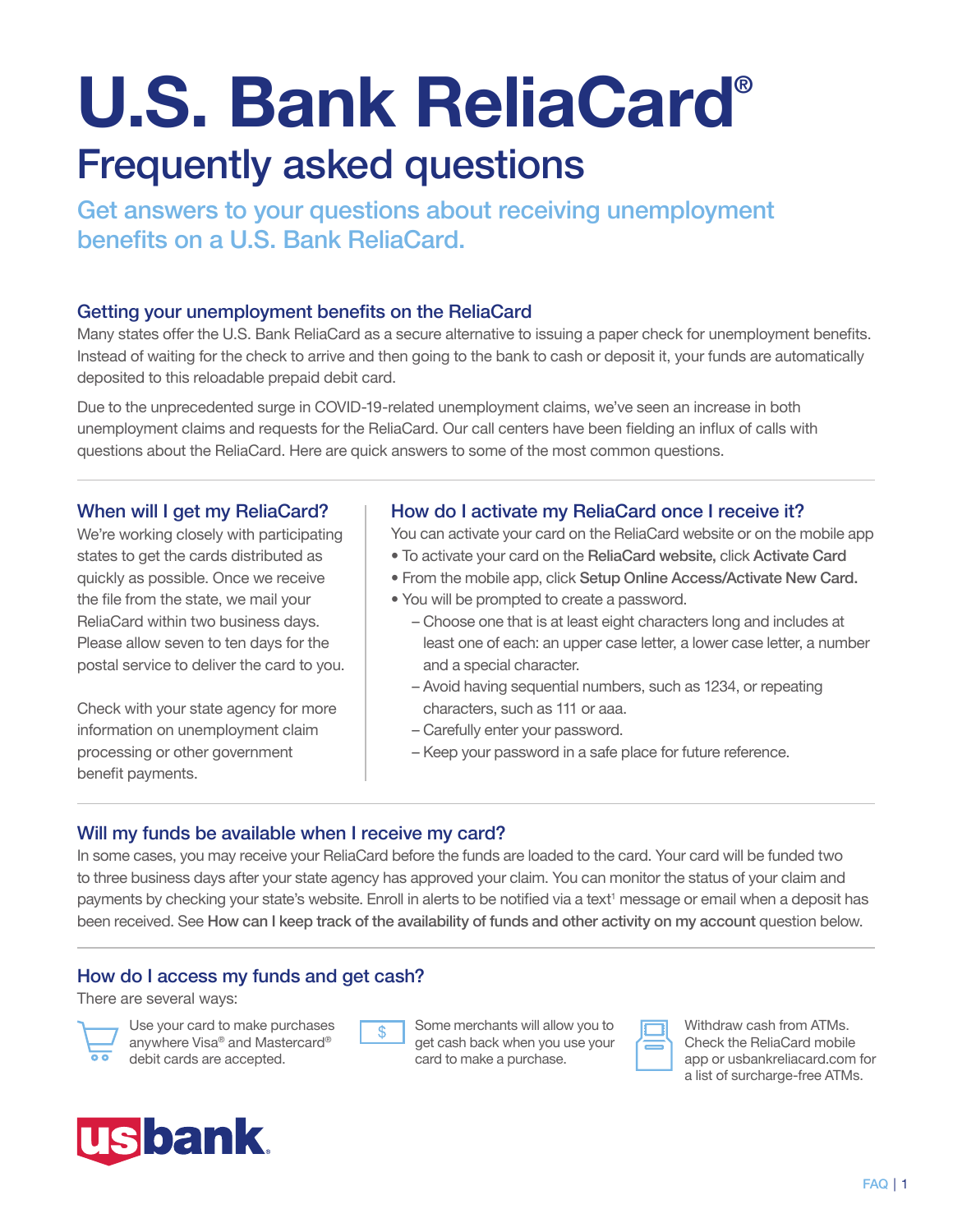# U.S. Bank ReliaCard® Frequently asked questions

Get answers to your questions about receiving unemployment benefits on a U.S. Bank ReliaCard.

## Getting your unemployment benefits on the ReliaCard

Many states offer the U.S. Bank ReliaCard as a secure alternative to issuing a paper check for unemployment benefits. Instead of waiting for the check to arrive and then going to the bank to cash or deposit it, your funds are automatically deposited to this reloadable prepaid debit card.

Due to the unprecedented surge in COVID-19-related unemployment claims, we've seen an increase in both unemployment claims and requests for the ReliaCard. Our call centers have been fielding an influx of calls with questions about the ReliaCard. Here are quick answers to some of the most common questions.

### When will I get my ReliaCard?

We're working closely with participating states to get the cards distributed as quickly as possible. Once we receive the file from the state, we mail your ReliaCard within two business days. Please allow seven to ten days for the postal service to deliver the card to you.

Check with your state agency for more information on unemployment claim processing or other government benefit payments.

## How do I activate my ReliaCard once I receive it?

- You can activate your card on the ReliaCard website or on the mobile app • To activate your card on the ReliaCard website, click Activate Card
- From the mobile app, click Setup Online Access/Activate New Card.
- You will be prompted to create a password.
	- Choose one that is at least eight characters long and includes at least one of each: an upper case letter, a lower case letter, a number and a special character.
	- Avoid having sequential numbers, such as 1234, or repeating characters, such as 111 or aaa.
	- Carefully enter your password.
	- Keep your password in a safe place for future reference.

## Will my funds be available when I receive my card?

In some cases, you may receive your ReliaCard before the funds are loaded to the card. Your card will be funded two to three business days after your state agency has approved your claim. You can monitor the status of your claim and payments by checking your state's website. Enroll in alerts to be notified via a text<sup>1</sup> message or email when a deposit has been received. See How can I keep track of the availability of funds and other activity on my account question below.

## How do I access my funds and get cash?

There are several ways:



Use your card to make purchases anywhere Visa® and Mastercard® debit cards are accepted.



Some merchants will allow you to get cash back when you use your card to make a purchase.



Withdraw cash from ATMs. Check the ReliaCard mobile app or usbankreliacard.com for a list of surcharge-free ATMs.